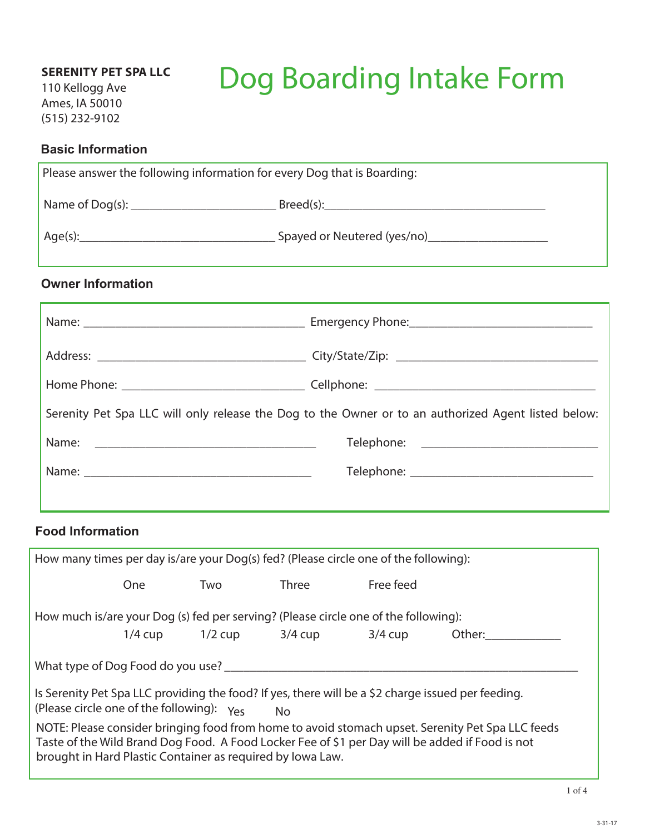110 Kellogg Ave Ames, IA 50010 (515) 232-9102

# Dog Boarding Intake Form

## **Basic Information**

| Please answer the following information for every Dog that is Boarding:                             |  |  |  |
|-----------------------------------------------------------------------------------------------------|--|--|--|
|                                                                                                     |  |  |  |
|                                                                                                     |  |  |  |
| <b>Owner Information</b>                                                                            |  |  |  |
|                                                                                                     |  |  |  |
|                                                                                                     |  |  |  |
|                                                                                                     |  |  |  |
| Serenity Pet Spa LLC will only release the Dog to the Owner or to an authorized Agent listed below: |  |  |  |
|                                                                                                     |  |  |  |
|                                                                                                     |  |  |  |
|                                                                                                     |  |  |  |

## **Food Information**

| How many times per day is/are your Dog(s) fed? (Please circle one of the following):                                                                                                                                                                              |            |                     |         |           |        |
|-------------------------------------------------------------------------------------------------------------------------------------------------------------------------------------------------------------------------------------------------------------------|------------|---------------------|---------|-----------|--------|
|                                                                                                                                                                                                                                                                   | <b>One</b> | Two                 | Three   | Free feed |        |
| How much is/are your Dog (s) fed per serving? (Please circle one of the following):                                                                                                                                                                               |            |                     |         |           |        |
|                                                                                                                                                                                                                                                                   |            | $1/4$ cup $1/2$ cup | 3/4 cup | $3/4$ cup | Other: |
| What type of Dog Food do you use?                                                                                                                                                                                                                                 |            |                     |         |           |        |
| Is Serenity Pet Spa LLC providing the food? If yes, there will be a \$2 charge issued per feeding.<br>(Please circle one of the following): $v_{\text{ex}}$<br>No                                                                                                 |            |                     |         |           |        |
| NOTE: Please consider bringing food from home to avoid stomach upset. Serenity Pet Spa LLC feeds<br>Taste of the Wild Brand Dog Food. A Food Locker Fee of \$1 per Day will be added if Food is not<br>brought in Hard Plastic Container as required by Iowa Law. |            |                     |         |           |        |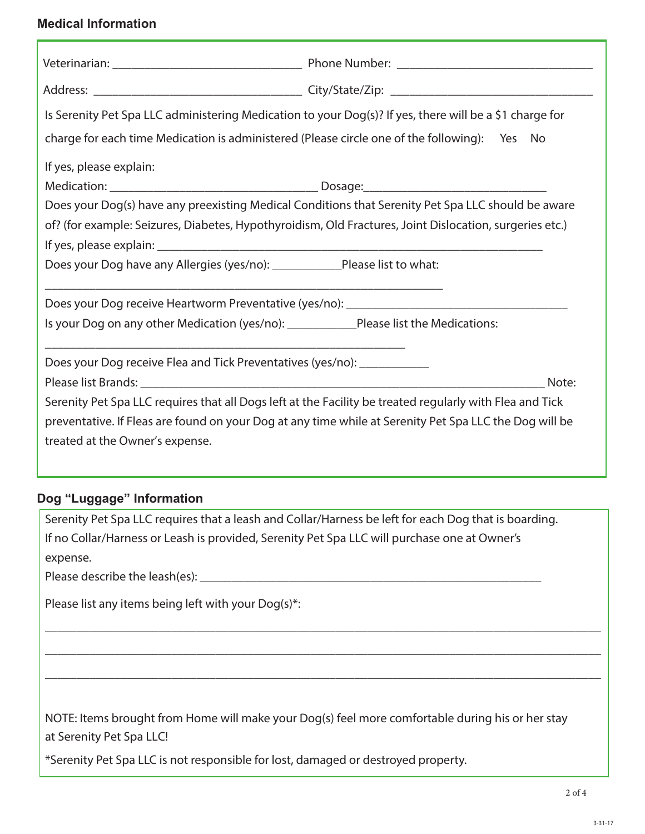## **Medical Information**

| Is Serenity Pet Spa LLC administering Medication to your Dog(s)? If yes, there will be a \$1 charge for                                                                                                                                                                                      |  |  |  |  |
|----------------------------------------------------------------------------------------------------------------------------------------------------------------------------------------------------------------------------------------------------------------------------------------------|--|--|--|--|
| charge for each time Medication is administered (Please circle one of the following): Yes No                                                                                                                                                                                                 |  |  |  |  |
| If yes, please explain:                                                                                                                                                                                                                                                                      |  |  |  |  |
|                                                                                                                                                                                                                                                                                              |  |  |  |  |
| Does your Dog(s) have any preexisting Medical Conditions that Serenity Pet Spa LLC should be aware<br>of? (for example: Seizures, Diabetes, Hypothyroidism, Old Fractures, Joint Dislocation, surgeries etc.)<br>Does your Dog have any Allergies (yes/no): ____________Please list to what: |  |  |  |  |
|                                                                                                                                                                                                                                                                                              |  |  |  |  |
| Is your Dog on any other Medication (yes/no): ____________Please list the Medications:                                                                                                                                                                                                       |  |  |  |  |
| <u> 1989 - Johann Barn, amerikan besteman besteman besteman besteman besteman besteman besteman besteman bestema</u><br>Does your Dog receive Flea and Tick Preventatives (yes/no): ____________<br>Note:                                                                                    |  |  |  |  |
| Serenity Pet Spa LLC requires that all Dogs left at the Facility be treated regularly with Flea and Tick<br>preventative. If Fleas are found on your Dog at any time while at Serenity Pet Spa LLC the Dog will be<br>treated at the Owner's expense.                                        |  |  |  |  |

## **Dog "Luggage" Information**

| Serenity Pet Spa LLC requires that a leash and Collar/Harness be left for each Dog that is boarding.                         |
|------------------------------------------------------------------------------------------------------------------------------|
| If no Collar/Harness or Leash is provided, Serenity Pet Spa LLC will purchase one at Owner's                                 |
| expense.                                                                                                                     |
| Please describe the leash(es):                                                                                               |
| Please list any items being left with your Dog(s)*:                                                                          |
|                                                                                                                              |
|                                                                                                                              |
|                                                                                                                              |
|                                                                                                                              |
| NOTE: Items brought from Home will make your Dog(s) feel more comfortable during his or her stay<br>at Serenity Pet Spa LLC! |
| *Serenity Pet Spa LLC is not responsible for lost, damaged or destroyed property.                                            |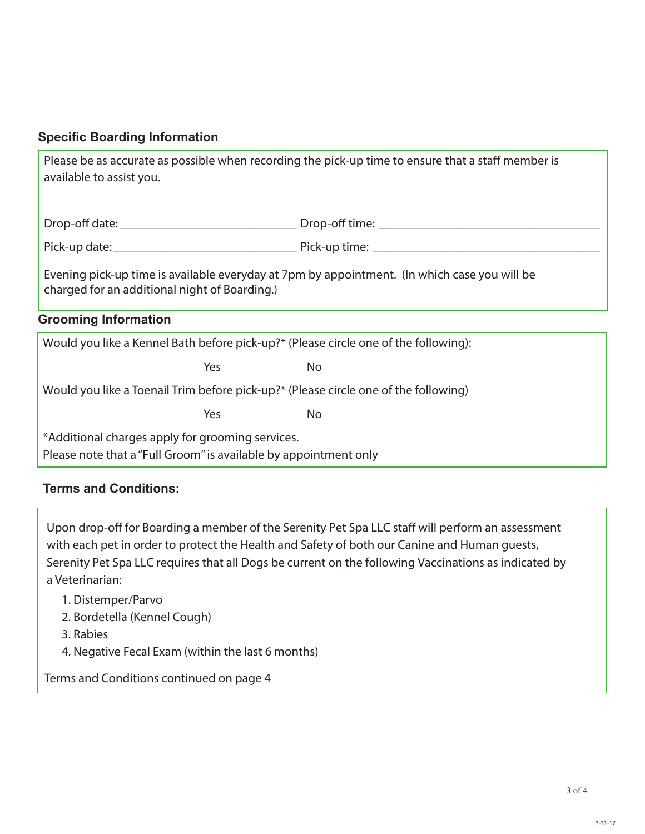#### **Specific Boarding Information**

| Please be as accurate as possible when recording the pick-up time to ensure that a staff member is<br>available to assist you.                |           |  |  |  |
|-----------------------------------------------------------------------------------------------------------------------------------------------|-----------|--|--|--|
|                                                                                                                                               |           |  |  |  |
| Evening pick-up time is available everyday at 7pm by appointment. (In which case you will be<br>charged for an additional night of Boarding.) |           |  |  |  |
| <b>Grooming Information</b>                                                                                                                   |           |  |  |  |
| Would you like a Kennel Bath before pick-up?* (Please circle one of the following):                                                           |           |  |  |  |
| <b>Yes</b>                                                                                                                                    | <b>No</b> |  |  |  |
| Would you like a Toenail Trim before pick-up?* (Please circle one of the following)                                                           |           |  |  |  |
| Yes                                                                                                                                           | No        |  |  |  |
| *Additional charges apply for grooming services.<br>Please note that a "Full Groom" is available by appointment only                          |           |  |  |  |

## **Terms and Conditions:**

Upon drop-off for Boarding a member of the Serenity Pet Spa LLC staff will perform an assessment with each pet in order to protect the Health and Safety of both our Canine and Human guests, Serenity Pet Spa LLC requires that all Dogs be current on the following Vaccinations as indicated by a Veterinarian:

- 1. Distemper/Parvo
- 2. Bordetella (Kennel Cough)
- 3. Rabies
- 4. Negative Fecal Exam (within the last 6 months)

Terms and Conditions continued on page 4